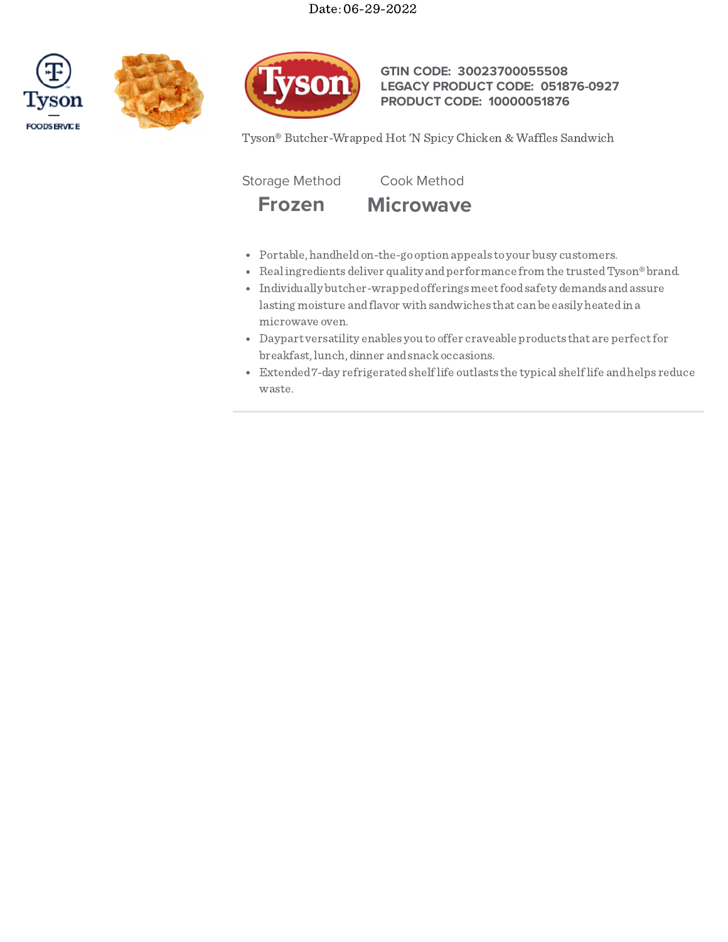





### **GTIN CODE: 30023700055508 LEGACY PRODUCT CODE: 051876-0927 PRODUCT CODE: 10000051876**

Tyson® Butcher-Wrapped Hot 'N Spicy Chicken & Waffles Sandwich

Storage Method Cook Method



- Portable, handheldon-the-go option appeals to your busy customers.
- Realingredients deliver quality and performance from the trusted Tyson® brand.
- $\bullet$  Individually butcher-wrapped offerings meet food safety demands and assure lasting moisture andflavor with sandwiches that can be easily heatedin a microwave oven.
- Daypart versatility enables you to offer craveable products that are perfectfor breakfast, lunch, dinner andsnackoccasions.
- Extended7-day refrigeratedshelflife outlasts the typical shelflife andhelps reduce waste.